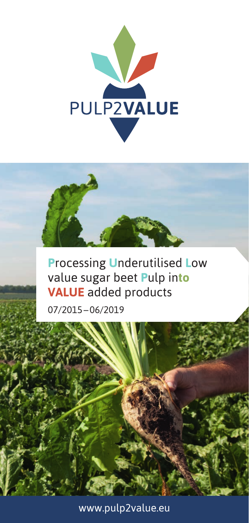



# **Processing Underutilised Low** value sugar beet Pulp into **VALUE** added products

07/2015-06/2019

www.pulp2value.eu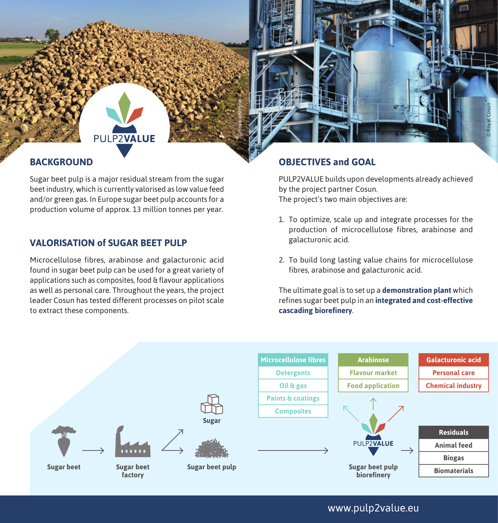## PUI P<sub>2VALUE</sub>

### **BACKGROUND**

Sugar beet pulp is a major residual stream from the sugar beet industry, which is currently valorised as low value feed and/or green gas. In Europe sugar beet pulp accounts for a production volume of approx. 13 million tonnes per year.

### **VALORISATION of SUGAR BEET PULP**

Microcellulose fibres, arabinose and galacturonic acid found in sugar beet pulp can be used for a great variety of applications such as composites, food & flavour applications as well as personal care. Throughout the years, the project leader Cosun has tested different processes on pilot scale to extract these components.

### **OBJECTIVES and GOAL**

PULP2VALUE builds upon developments already achieved by the project partner Cosun. The project's two main objectives are:

© Royal Cosun

- 1. To optimize, scale up and integrate processes for the production of microcellulose fibres, arabinose and galacturonic acid.
- 2. To build long lasting value chains for microcellulose fibres, arabinose and galacturonic acid.

The ultimate goal is to set up a **demonstration plant** which refines sugar beet pulp in an **integrated and cost-effective cascading biorefinery**.



© nova-Institute

www.pulp2value.eu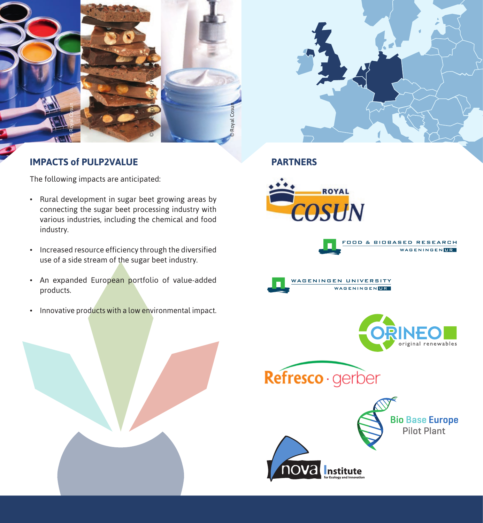



## **IMPACTS of PULP2VALUE**

The following impacts are anticipated:

- Rural development in sugar beet growing areas by connecting the sugar beet processing industry with various industries, including the chemical and food industry.
- Increased resource efficiency through the diversified use of a side stream of the sugar beet industry.
- An expanded European portfolio of value-added products.
- Innovative products with a low environmental impact.





**PARTNERS**











**Bio Base Europe Pilot Plant**